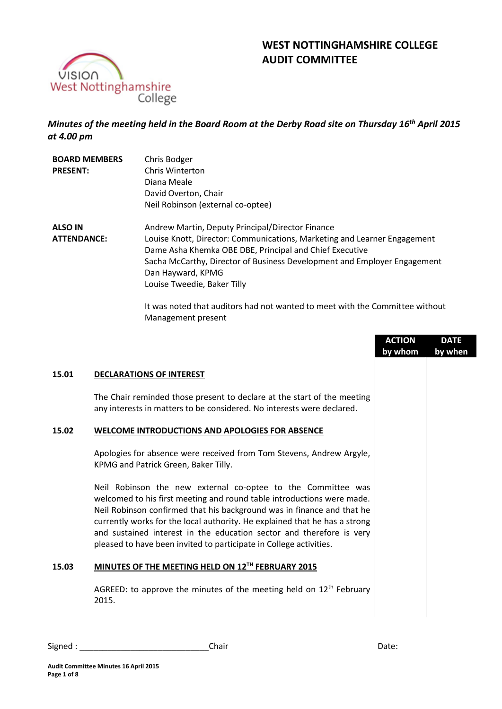



*Minutes of the meeting held in the Board Room at the Derby Road site on Thursday 16th April 2015 at 4.00 pm*

| <b>BOARD MEMBERS</b><br><b>PRESENT:</b> | Chris Bodger<br>Chris Winterton<br>Diana Meale<br>David Overton, Chair<br>Neil Robinson (external co-optee)                                                                                                                                                                                                             |
|-----------------------------------------|-------------------------------------------------------------------------------------------------------------------------------------------------------------------------------------------------------------------------------------------------------------------------------------------------------------------------|
| <b>ALSO IN</b><br><b>ATTENDANCE:</b>    | Andrew Martin, Deputy Principal/Director Finance<br>Louise Knott, Director: Communications, Marketing and Learner Engagement<br>Dame Asha Khemka OBE DBE, Principal and Chief Executive<br>Sacha McCarthy, Director of Business Development and Employer Engagement<br>Dan Hayward, KPMG<br>Louise Tweedie, Baker Tilly |

It was noted that auditors had not wanted to meet with the Committee without Management present

|       |                                                                                                                                                                                                                                                                                                                                                                                                                                              | <b>ACTION</b><br>by whom | <b>DATE</b><br>by when |
|-------|----------------------------------------------------------------------------------------------------------------------------------------------------------------------------------------------------------------------------------------------------------------------------------------------------------------------------------------------------------------------------------------------------------------------------------------------|--------------------------|------------------------|
| 15.01 | <b>DECLARATIONS OF INTEREST</b>                                                                                                                                                                                                                                                                                                                                                                                                              |                          |                        |
|       | The Chair reminded those present to declare at the start of the meeting<br>any interests in matters to be considered. No interests were declared.                                                                                                                                                                                                                                                                                            |                          |                        |
| 15.02 | <b>WELCOME INTRODUCTIONS AND APOLOGIES FOR ABSENCE</b>                                                                                                                                                                                                                                                                                                                                                                                       |                          |                        |
|       | Apologies for absence were received from Tom Stevens, Andrew Argyle,<br>KPMG and Patrick Green, Baker Tilly.                                                                                                                                                                                                                                                                                                                                 |                          |                        |
|       | Neil Robinson the new external co-optee to the Committee was<br>welcomed to his first meeting and round table introductions were made.<br>Neil Robinson confirmed that his background was in finance and that he<br>currently works for the local authority. He explained that he has a strong<br>and sustained interest in the education sector and therefore is very<br>pleased to have been invited to participate in College activities. |                          |                        |
| 15.03 | MINUTES OF THE MEETING HELD ON 12TH FEBRUARY 2015                                                                                                                                                                                                                                                                                                                                                                                            |                          |                        |
|       | AGREED: to approve the minutes of the meeting held on $12th$ February<br>2015.                                                                                                                                                                                                                                                                                                                                                               |                          |                        |

Signed : \_\_\_\_\_\_\_\_\_\_\_\_\_\_\_\_\_\_\_\_\_\_\_\_\_\_\_\_Chair Date: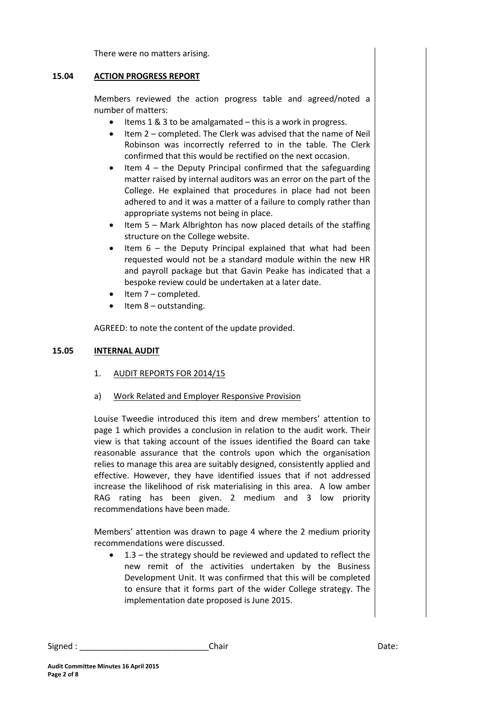There were no matters arising.

# **15.04 ACTION PROGRESS REPORT**

Members reviewed the action progress table and agreed/noted a number of matters:

- Items 1 & 3 to be amalgamated this is a work in progress.
- Item 2 completed. The Clerk was advised that the name of Neil Robinson was incorrectly referred to in the table. The Clerk confirmed that this would be rectified on the next occasion.
- Item 4 the Deputy Principal confirmed that the safeguarding matter raised by internal auditors was an error on the part of the College. He explained that procedures in place had not been adhered to and it was a matter of a failure to comply rather than appropriate systems not being in place.
- $\bullet$  Item 5 Mark Albrighton has now placed details of the staffing structure on the College website.
- Item 6 the Deputy Principal explained that what had been requested would not be a standard module within the new HR and payroll package but that Gavin Peake has indicated that a bespoke review could be undertaken at a later date.
- Item 7 completed.
- $\bullet$  Item 8 outstanding.

AGREED: to note the content of the update provided.

# **15.05 INTERNAL AUDIT**

- 1. AUDIT REPORTS FOR 2014/15
- a) Work Related and Employer Responsive Provision

Louise Tweedie introduced this item and drew members' attention to page 1 which provides a conclusion in relation to the audit work. Their view is that taking account of the issues identified the Board can take reasonable assurance that the controls upon which the organisation relies to manage this area are suitably designed, consistently applied and effective. However, they have identified issues that if not addressed increase the likelihood of risk materialising in this area. A low amber RAG rating has been given. 2 medium and 3 low priority recommendations have been made.

Members' attention was drawn to page 4 where the 2 medium priority recommendations were discussed.

 1.3 – the strategy should be reviewed and updated to reflect the new remit of the activities undertaken by the Business Development Unit. It was confirmed that this will be completed to ensure that it forms part of the wider College strategy. The implementation date proposed is June 2015.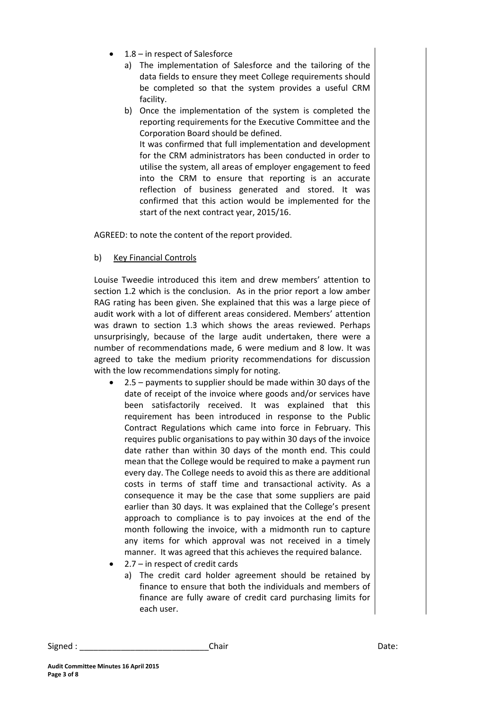- 1.8 in respect of Salesforce
	- a) The implementation of Salesforce and the tailoring of the data fields to ensure they meet College requirements should be completed so that the system provides a useful CRM facility.
	- b) Once the implementation of the system is completed the reporting requirements for the Executive Committee and the Corporation Board should be defined.

It was confirmed that full implementation and development for the CRM administrators has been conducted in order to utilise the system, all areas of employer engagement to feed into the CRM to ensure that reporting is an accurate reflection of business generated and stored. It was confirmed that this action would be implemented for the start of the next contract year, 2015/16.

AGREED: to note the content of the report provided.

b) Key Financial Controls

Louise Tweedie introduced this item and drew members' attention to section 1.2 which is the conclusion. As in the prior report a low amber RAG rating has been given. She explained that this was a large piece of audit work with a lot of different areas considered. Members' attention was drawn to section 1.3 which shows the areas reviewed. Perhaps unsurprisingly, because of the large audit undertaken, there were a number of recommendations made, 6 were medium and 8 low. It was agreed to take the medium priority recommendations for discussion with the low recommendations simply for noting.

- 2.5 payments to supplier should be made within 30 days of the date of receipt of the invoice where goods and/or services have been satisfactorily received. It was explained that this requirement has been introduced in response to the Public Contract Regulations which came into force in February. This requires public organisations to pay within 30 days of the invoice date rather than within 30 days of the month end. This could mean that the College would be required to make a payment run every day. The College needs to avoid this as there are additional costs in terms of staff time and transactional activity. As a consequence it may be the case that some suppliers are paid earlier than 30 days. It was explained that the College's present approach to compliance is to pay invoices at the end of the month following the invoice, with a midmonth run to capture any items for which approval was not received in a timely manner. It was agreed that this achieves the required balance.
- 2.7 in respect of credit cards
	- a) The credit card holder agreement should be retained by finance to ensure that both the individuals and members of finance are fully aware of credit card purchasing limits for each user.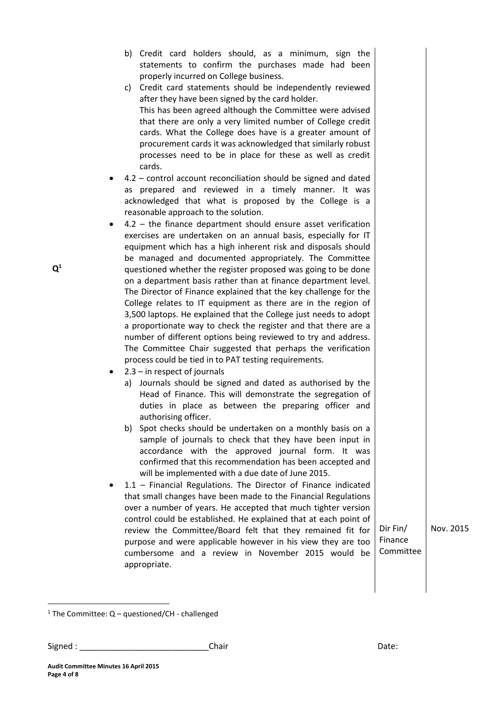| b) Credit card holders should, as a minimum, sign the<br>statements to confirm the purchases made had been<br>properly incurred on College business.<br>c) Credit card statements should be independently reviewed<br>after they have been signed by the card holder.<br>This has been agreed although the Committee were advised<br>that there are only a very limited number of College credit<br>cards. What the College does have is a greater amount of                                                                                                                                                                                                                                                                                                                                                                                                                                                                                                                                                                                                                                                                                                                                                                                                                                                                                                                                                                                                                                                                                                                                                                                                                                                                                                                                                                                                                                                                                                                                                                                                                                                                                                                                                                                           |                                  |           |
|--------------------------------------------------------------------------------------------------------------------------------------------------------------------------------------------------------------------------------------------------------------------------------------------------------------------------------------------------------------------------------------------------------------------------------------------------------------------------------------------------------------------------------------------------------------------------------------------------------------------------------------------------------------------------------------------------------------------------------------------------------------------------------------------------------------------------------------------------------------------------------------------------------------------------------------------------------------------------------------------------------------------------------------------------------------------------------------------------------------------------------------------------------------------------------------------------------------------------------------------------------------------------------------------------------------------------------------------------------------------------------------------------------------------------------------------------------------------------------------------------------------------------------------------------------------------------------------------------------------------------------------------------------------------------------------------------------------------------------------------------------------------------------------------------------------------------------------------------------------------------------------------------------------------------------------------------------------------------------------------------------------------------------------------------------------------------------------------------------------------------------------------------------------------------------------------------------------------------------------------------------|----------------------------------|-----------|
| procurement cards it was acknowledged that similarly robust<br>processes need to be in place for these as well as credit<br>cards.<br>4.2 - control account reconciliation should be signed and dated<br>as prepared and reviewed in a timely manner. It was<br>acknowledged that what is proposed by the College is a<br>reasonable approach to the solution.<br>$4.2$ – the finance department should ensure asset verification<br>٠<br>exercises are undertaken on an annual basis, especially for IT<br>equipment which has a high inherent risk and disposals should<br>be managed and documented appropriately. The Committee<br>questioned whether the register proposed was going to be done<br>on a department basis rather than at finance department level.<br>The Director of Finance explained that the key challenge for the<br>College relates to IT equipment as there are in the region of<br>3,500 laptops. He explained that the College just needs to adopt<br>a proportionate way to check the register and that there are a<br>number of different options being reviewed to try and address.<br>The Committee Chair suggested that perhaps the verification<br>process could be tied in to PAT testing requirements.<br>$2.3 - in$ respect of journals<br>a) Journals should be signed and dated as authorised by the<br>Head of Finance. This will demonstrate the segregation of<br>duties in place as between the preparing officer and<br>authorising officer.<br>b) Spot checks should be undertaken on a monthly basis on a<br>sample of journals to check that they have been input in<br>accordance with the approved journal form. It was<br>confirmed that this recommendation has been accepted and<br>will be implemented with a due date of June 2015.<br>1.1 - Financial Regulations. The Director of Finance indicated<br>that small changes have been made to the Financial Regulations<br>over a number of years. He accepted that much tighter version<br>control could be established. He explained that at each point of<br>review the Committee/Board felt that they remained fit for<br>purpose and were applicable however in his view they are too<br>cumbersome and a review in November 2015 would be | Dir Fin/<br>Finance<br>Committee | Nov. 2015 |

 $1$  The Committee: Q – questioned/CH - challenged

**Audit Committee Minutes 16 April 2015**

**Page 4 of 8**

1

 $\mathbf{Q}^1$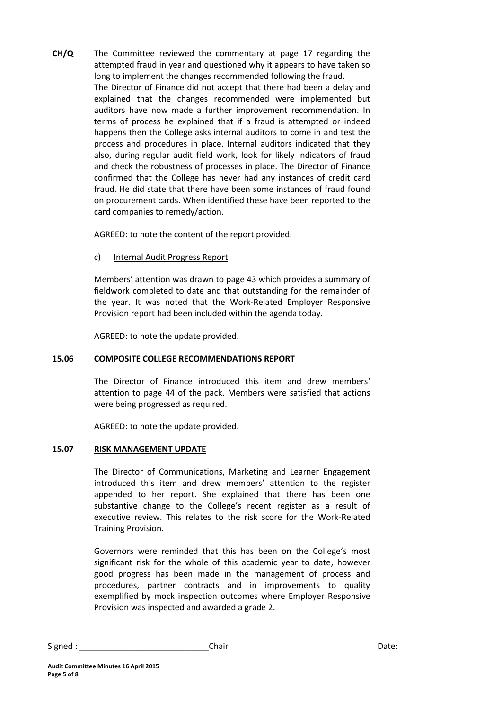**CH/Q** The Committee reviewed the commentary at page 17 regarding the attempted fraud in year and questioned why it appears to have taken so long to implement the changes recommended following the fraud. The Director of Finance did not accept that there had been a delay and explained that the changes recommended were implemented but auditors have now made a further improvement recommendation. In terms of process he explained that if a fraud is attempted or indeed happens then the College asks internal auditors to come in and test the process and procedures in place. Internal auditors indicated that they also, during regular audit field work, look for likely indicators of fraud and check the robustness of processes in place. The Director of Finance confirmed that the College has never had any instances of credit card fraud. He did state that there have been some instances of fraud found on procurement cards. When identified these have been reported to the card companies to remedy/action.

AGREED: to note the content of the report provided.

c) Internal Audit Progress Report

Members' attention was drawn to page 43 which provides a summary of fieldwork completed to date and that outstanding for the remainder of the year. It was noted that the Work-Related Employer Responsive Provision report had been included within the agenda today.

AGREED: to note the update provided.

## **15.06 COMPOSITE COLLEGE RECOMMENDATIONS REPORT**

The Director of Finance introduced this item and drew members' attention to page 44 of the pack. Members were satisfied that actions were being progressed as required.

AGREED: to note the update provided.

## **15.07 RISK MANAGEMENT UPDATE**

The Director of Communications, Marketing and Learner Engagement introduced this item and drew members' attention to the register appended to her report. She explained that there has been one substantive change to the College's recent register as a result of executive review. This relates to the risk score for the Work-Related Training Provision.

Governors were reminded that this has been on the College's most significant risk for the whole of this academic year to date, however good progress has been made in the management of process and procedures, partner contracts and in improvements to quality exemplified by mock inspection outcomes where Employer Responsive Provision was inspected and awarded a grade 2.

| Signed | :hair<br>_____ | ,,<br>ハレレ |
|--------|----------------|-----------|
|--------|----------------|-----------|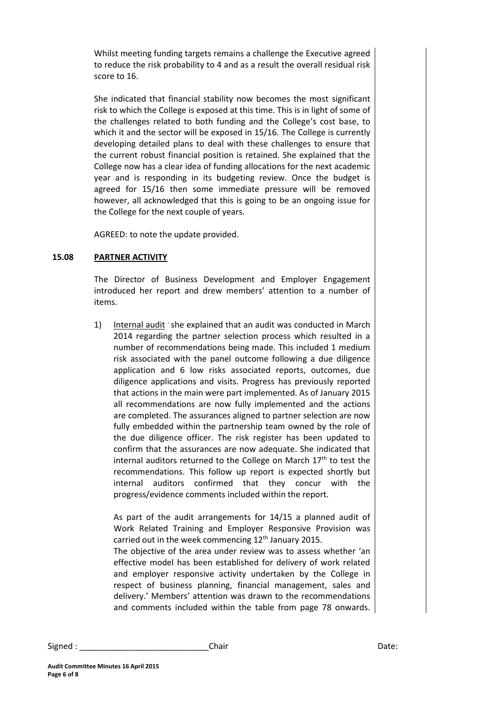Whilst meeting funding targets remains a challenge the Executive agreed to reduce the risk probability to 4 and as a result the overall residual risk score to 16.

She indicated that financial stability now becomes the most significant risk to which the College is exposed at this time. This is in light of some of the challenges related to both funding and the College's cost base, to which it and the sector will be exposed in 15/16. The College is currently developing detailed plans to deal with these challenges to ensure that the current robust financial position is retained. She explained that the College now has a clear idea of funding allocations for the next academic year and is responding in its budgeting review. Once the budget is agreed for 15/16 then some immediate pressure will be removed however, all acknowledged that this is going to be an ongoing issue for the College for the next couple of years.

AGREED: to note the update provided.

### **15.08 PARTNER ACTIVITY**

The Director of Business Development and Employer Engagement introduced her report and drew members' attention to a number of items.

1) Internal audit she explained that an audit was conducted in March 2014 regarding the partner selection process which resulted in a number of recommendations being made. This included 1 medium risk associated with the panel outcome following a due diligence application and 6 low risks associated reports, outcomes, due diligence applications and visits. Progress has previously reported that actions in the main were part implemented. As of January 2015 all recommendations are now fully implemented and the actions are completed. The assurances aligned to partner selection are now fully embedded within the partnership team owned by the role of the due diligence officer. The risk register has been updated to confirm that the assurances are now adequate. She indicated that internal auditors returned to the College on March  $17<sup>th</sup>$  to test the recommendations. This follow up report is expected shortly but internal auditors confirmed that they concur with the progress/evidence comments included within the report.

As part of the audit arrangements for 14/15 a planned audit of Work Related Training and Employer Responsive Provision was carried out in the week commencing  $12<sup>th</sup>$  January 2015.

The objective of the area under review was to assess whether 'an effective model has been established for delivery of work related and employer responsive activity undertaken by the College in respect of business planning, financial management, sales and delivery.' Members' attention was drawn to the recommendations and comments included within the table from page 78 onwards.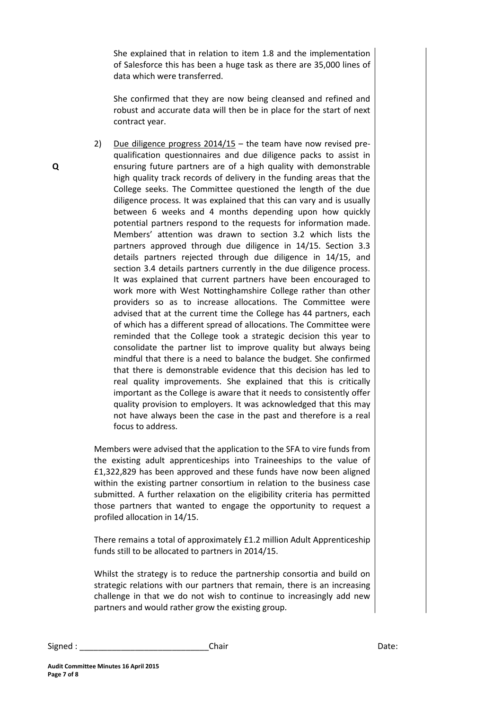She explained that in relation to item 1.8 and the implementation of Salesforce this has been a huge task as there are 35,000 lines of data which were transferred.

She confirmed that they are now being cleansed and refined and robust and accurate data will then be in place for the start of next contract year.

2) Due diligence progress 2014/15 – the team have now revised prequalification questionnaires and due diligence packs to assist in ensuring future partners are of a high quality with demonstrable high quality track records of delivery in the funding areas that the College seeks. The Committee questioned the length of the due diligence process. It was explained that this can vary and is usually between 6 weeks and 4 months depending upon how quickly potential partners respond to the requests for information made. Members' attention was drawn to section 3.2 which lists the partners approved through due diligence in 14/15. Section 3.3 details partners rejected through due diligence in 14/15, and section 3.4 details partners currently in the due diligence process. It was explained that current partners have been encouraged to work more with West Nottinghamshire College rather than other providers so as to increase allocations. The Committee were advised that at the current time the College has 44 partners, each of which has a different spread of allocations. The Committee were reminded that the College took a strategic decision this year to consolidate the partner list to improve quality but always being mindful that there is a need to balance the budget. She confirmed that there is demonstrable evidence that this decision has led to real quality improvements. She explained that this is critically important as the College is aware that it needs to consistently offer quality provision to employers. It was acknowledged that this may not have always been the case in the past and therefore is a real focus to address.

Members were advised that the application to the SFA to vire funds from the existing adult apprenticeships into Traineeships to the value of £1,322,829 has been approved and these funds have now been aligned within the existing partner consortium in relation to the business case submitted. A further relaxation on the eligibility criteria has permitted those partners that wanted to engage the opportunity to request a profiled allocation in 14/15.

There remains a total of approximately £1.2 million Adult Apprenticeship funds still to be allocated to partners in 2014/15.

Whilst the strategy is to reduce the partnership consortia and build on strategic relations with our partners that remain, there is an increasing challenge in that we do not wish to continue to increasingly add new partners and would rather grow the existing group.

Signed : \_\_\_\_\_\_\_\_\_\_\_\_\_\_\_\_\_\_\_\_\_\_\_\_\_\_\_\_Chair Date:

**Q**